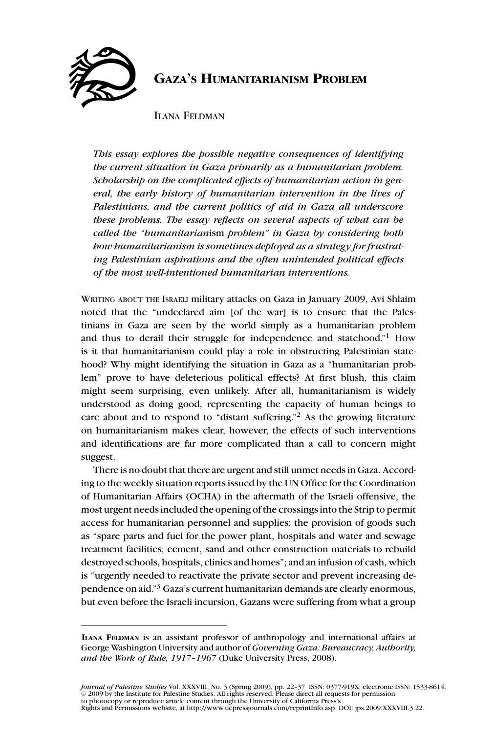

# **GAZA'S HUMANITARIANISM PROBLEM**

ILANA FELDMAN

*This essay explores the possible negative consequences of identifying the current situation in Gaza primarily as a humanitarian problem. Scholarship on the complicated effects of humanitarian action in general, the early history of humanitarian intervention in the lives of Palestinians, and the current politics of aid in Gaza all underscore these problems. The essay reflects on several aspects of what can be called the "humanitarian*ism *problem" in Gaza by considering both how humanitarianism is sometimes deployed as a strategy for frustrating Palestinian aspirations and the often unintended political effects of the most well-intentioned humanitarian interventions.*

WRITING ABOUT THE ISRAELI military attacks on Gaza in January 2009, Avi Shlaim noted that the "undeclared aim [of the war] is to ensure that the Palestinians in Gaza are seen by the world simply as a humanitarian problem and thus to derail their struggle for independence and statehood."<sup>1</sup> How is it that humanitarianism could play a role in obstructing Palestinian statehood? Why might identifying the situation in Gaza as a "humanitarian problem" prove to have deleterious political effects? At first blush, this claim might seem surprising, even unlikely. After all, humanitarianism is widely understood as doing good, representing the capacity of human beings to care about and to respond to "distant suffering."2 As the growing literature on humanitarianism makes clear, however, the effects of such interventions and identifications are far more complicated than a call to concern might suggest.

There is no doubt that there are urgent and still unmet needs in Gaza. According to the weekly situation reports issued by the UN Office for the Coordination of Humanitarian Affairs (OCHA) in the aftermath of the Israeli offensive, the most urgent needs included the opening of the crossings into the Strip to permit access for humanitarian personnel and supplies; the provision of goods such as "spare parts and fuel for the power plant, hospitals and water and sewage treatment facilities; cement, sand and other construction materials to rebuild destroyed schools, hospitals, clinics and homes"; and an infusion of cash, which is "urgently needed to reactivate the private sector and prevent increasing dependence on aid."3 Gaza's current humanitarian demands are clearly enormous, but even before the Israeli incursion, Gazans were suffering from what a group

**ILANA FELDMAN** is an assistant professor of anthropology and international affairs at George Washington University and author of *Governing Gaza: Bureaucracy, Authority, and the Work of Rule, 1917–1967* (Duke University Press, 2008).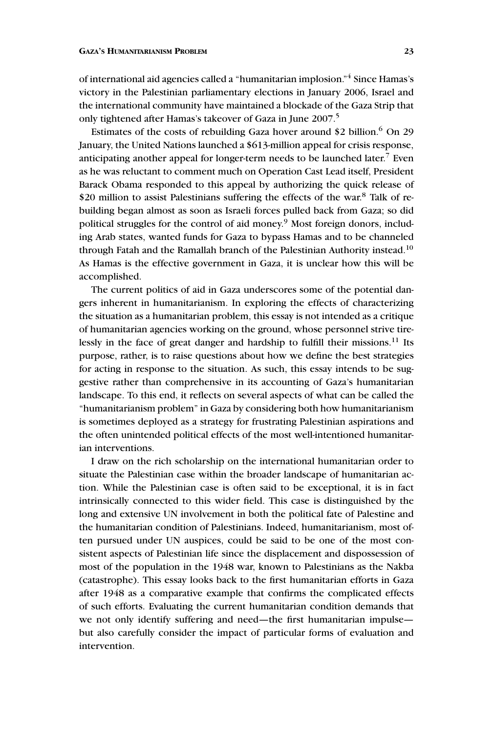of international aid agencies called a "humanitarian implosion."<sup>4</sup> Since Hamas's victory in the Palestinian parliamentary elections in January 2006, Israel and the international community have maintained a blockade of the Gaza Strip that only tightened after Hamas's takeover of Gaza in June 2007.5

Estimates of the costs of rebuilding Gaza hover around \$2 billion.<sup>6</sup> On 29 January, the United Nations launched a \$613-million appeal for crisis response, anticipating another appeal for longer-term needs to be launched later.<sup>7</sup> Even as he was reluctant to comment much on Operation Cast Lead itself, President Barack Obama responded to this appeal by authorizing the quick release of \$20 million to assist Palestinians suffering the effects of the war.<sup>8</sup> Talk of rebuilding began almost as soon as Israeli forces pulled back from Gaza; so did political struggles for the control of aid money.9 Most foreign donors, including Arab states, wanted funds for Gaza to bypass Hamas and to be channeled through Fatah and the Ramallah branch of the Palestinian Authority instead.<sup>10</sup> As Hamas is the effective government in Gaza, it is unclear how this will be accomplished.

The current politics of aid in Gaza underscores some of the potential dangers inherent in humanitarianism. In exploring the effects of characterizing the situation as a humanitarian problem, this essay is not intended as a critique of humanitarian agencies working on the ground, whose personnel strive tirelessly in the face of great danger and hardship to fulfill their missions.<sup>11</sup> Its purpose, rather, is to raise questions about how we define the best strategies for acting in response to the situation. As such, this essay intends to be suggestive rather than comprehensive in its accounting of Gaza's humanitarian landscape. To this end, it reflects on several aspects of what can be called the "humanitarianism problem" in Gaza by considering both how humanitarianism is sometimes deployed as a strategy for frustrating Palestinian aspirations and the often unintended political effects of the most well-intentioned humanitarian interventions.

I draw on the rich scholarship on the international humanitarian order to situate the Palestinian case within the broader landscape of humanitarian action. While the Palestinian case is often said to be exceptional, it is in fact intrinsically connected to this wider field. This case is distinguished by the long and extensive UN involvement in both the political fate of Palestine and the humanitarian condition of Palestinians. Indeed, humanitarianism, most often pursued under UN auspices, could be said to be one of the most consistent aspects of Palestinian life since the displacement and dispossession of most of the population in the 1948 war, known to Palestinians as the Nakba (catastrophe). This essay looks back to the first humanitarian efforts in Gaza after 1948 as a comparative example that confirms the complicated effects of such efforts. Evaluating the current humanitarian condition demands that we not only identify suffering and need—the first humanitarian impulse but also carefully consider the impact of particular forms of evaluation and intervention.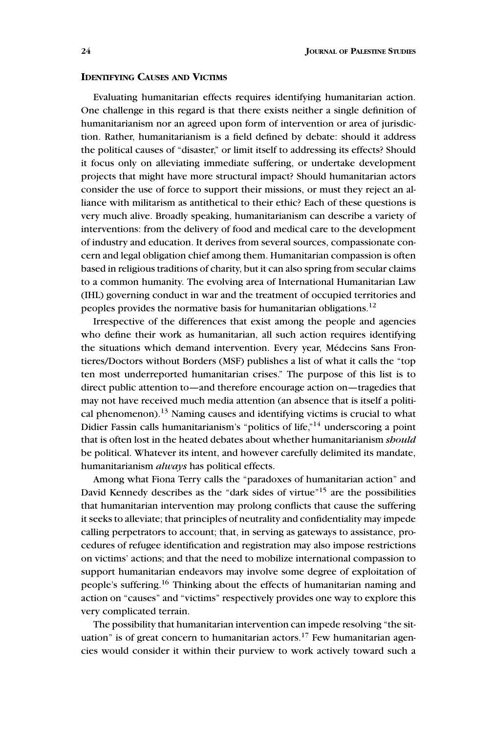#### **IDENTIFYING CAUSES AND VICTIMS**

Evaluating humanitarian effects requires identifying humanitarian action. One challenge in this regard is that there exists neither a single definition of humanitarianism nor an agreed upon form of intervention or area of jurisdiction. Rather, humanitarianism is a field defined by debate: should it address the political causes of "disaster," or limit itself to addressing its effects? Should it focus only on alleviating immediate suffering, or undertake development projects that might have more structural impact? Should humanitarian actors consider the use of force to support their missions, or must they reject an alliance with militarism as antithetical to their ethic? Each of these questions is very much alive. Broadly speaking, humanitarianism can describe a variety of interventions: from the delivery of food and medical care to the development of industry and education. It derives from several sources, compassionate concern and legal obligation chief among them. Humanitarian compassion is often based in religious traditions of charity, but it can also spring from secular claims to a common humanity. The evolving area of International Humanitarian Law (IHL) governing conduct in war and the treatment of occupied territories and peoples provides the normative basis for humanitarian obligations.<sup>12</sup>

Irrespective of the differences that exist among the people and agencies who define their work as humanitarian, all such action requires identifying the situations which demand intervention. Every year, Médecins Sans Frontieres/Doctors without Borders (MSF) publishes a list of what it calls the "top ten most underreported humanitarian crises." The purpose of this list is to direct public attention to—and therefore encourage action on—tragedies that may not have received much media attention (an absence that is itself a political phenomenon).<sup>13</sup> Naming causes and identifying victims is crucial to what Didier Fassin calls humanitarianism's "politics of life,"<sup>14</sup> underscoring a point that is often lost in the heated debates about whether humanitarianism *should* be political. Whatever its intent, and however carefully delimited its mandate, humanitarianism *always* has political effects.

Among what Fiona Terry calls the "paradoxes of humanitarian action" and David Kennedy describes as the "dark sides of virtue"<sup>15</sup> are the possibilities that humanitarian intervention may prolong conflicts that cause the suffering it seeks to alleviate; that principles of neutrality and confidentiality may impede calling perpetrators to account; that, in serving as gateways to assistance, procedures of refugee identification and registration may also impose restrictions on victims' actions; and that the need to mobilize international compassion to support humanitarian endeavors may involve some degree of exploitation of people's suffering.16 Thinking about the effects of humanitarian naming and action on "causes" and "victims" respectively provides one way to explore this very complicated terrain.

The possibility that humanitarian intervention can impede resolving "the situation" is of great concern to humanitarian actors.<sup>17</sup> Few humanitarian agencies would consider it within their purview to work actively toward such a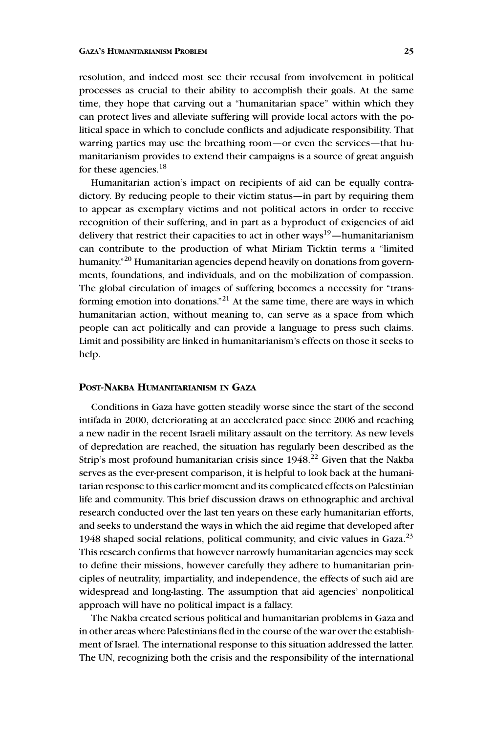resolution, and indeed most see their recusal from involvement in political processes as crucial to their ability to accomplish their goals. At the same time, they hope that carving out a "humanitarian space" within which they can protect lives and alleviate suffering will provide local actors with the political space in which to conclude conflicts and adjudicate responsibility. That warring parties may use the breathing room—or even the services—that humanitarianism provides to extend their campaigns is a source of great anguish for these agencies. $18$ 

Humanitarian action's impact on recipients of aid can be equally contradictory. By reducing people to their victim status—in part by requiring them to appear as exemplary victims and not political actors in order to receive recognition of their suffering, and in part as a byproduct of exigencies of aid delivery that restrict their capacities to act in other ways<sup>19</sup>—humanitarianism can contribute to the production of what Miriam Ticktin terms a "limited humanity.<sup>"20</sup> Humanitarian agencies depend heavily on donations from governments, foundations, and individuals, and on the mobilization of compassion. The global circulation of images of suffering becomes a necessity for "transforming emotion into donations."<sup>21</sup> At the same time, there are ways in which humanitarian action, without meaning to, can serve as a space from which people can act politically and can provide a language to press such claims. Limit and possibility are linked in humanitarianism's effects on those it seeks to help.

# **POST-NAKBA HUMANITARIANISM IN GAZA**

Conditions in Gaza have gotten steadily worse since the start of the second intifada in 2000, deteriorating at an accelerated pace since 2006 and reaching a new nadir in the recent Israeli military assault on the territory. As new levels of depredation are reached, the situation has regularly been described as the Strip's most profound humanitarian crisis since 1948.<sup>22</sup> Given that the Nakba serves as the ever-present comparison, it is helpful to look back at the humanitarian response to this earlier moment and its complicated effects on Palestinian life and community. This brief discussion draws on ethnographic and archival research conducted over the last ten years on these early humanitarian efforts, and seeks to understand the ways in which the aid regime that developed after 1948 shaped social relations, political community, and civic values in Gaza. $^{23}$ This research confirms that however narrowly humanitarian agencies may seek to define their missions, however carefully they adhere to humanitarian principles of neutrality, impartiality, and independence, the effects of such aid are widespread and long-lasting. The assumption that aid agencies' nonpolitical approach will have no political impact is a fallacy.

The Nakba created serious political and humanitarian problems in Gaza and in other areas where Palestinians fled in the course of the war over the establishment of Israel. The international response to this situation addressed the latter. The UN, recognizing both the crisis and the responsibility of the international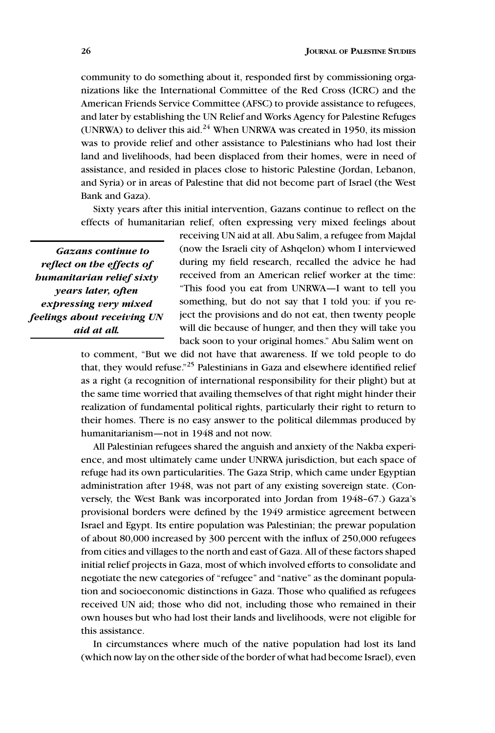community to do something about it, responded first by commissioning organizations like the International Committee of the Red Cross (ICRC) and the American Friends Service Committee (AFSC) to provide assistance to refugees, and later by establishing the UN Relief and Works Agency for Palestine Refuges (UNRWA) to deliver this aid. $^{24}$  When UNRWA was created in 1950, its mission was to provide relief and other assistance to Palestinians who had lost their land and livelihoods, had been displaced from their homes, were in need of assistance, and resided in places close to historic Palestine (Jordan, Lebanon, and Syria) or in areas of Palestine that did not become part of Israel (the West Bank and Gaza).

Sixty years after this initial intervention, Gazans continue to reflect on the effects of humanitarian relief, often expressing very mixed feelings about

*Gazans continue to reflect on the effects of humanitarian relief sixty years later, often expressing very mixed feelings about receiving UN aid at all.*

receiving UN aid at all. Abu Salim, a refugee from Majdal (now the Israeli city of Ashqelon) whom I interviewed during my field research, recalled the advice he had received from an American relief worker at the time: "This food you eat from UNRWA—I want to tell you something, but do not say that I told you: if you reject the provisions and do not eat, then twenty people will die because of hunger, and then they will take you back soon to your original homes." Abu Salim went on

to comment, "But we did not have that awareness. If we told people to do that, they would refuse."<sup>25</sup> Palestinians in Gaza and elsewhere identified relief as a right (a recognition of international responsibility for their plight) but at the same time worried that availing themselves of that right might hinder their realization of fundamental political rights, particularly their right to return to their homes. There is no easy answer to the political dilemmas produced by humanitarianism—not in 1948 and not now.

All Palestinian refugees shared the anguish and anxiety of the Nakba experience, and most ultimately came under UNRWA jurisdiction, but each space of refuge had its own particularities. The Gaza Strip, which came under Egyptian administration after 1948, was not part of any existing sovereign state. (Conversely, the West Bank was incorporated into Jordan from 1948–67.) Gaza's provisional borders were defined by the 1949 armistice agreement between Israel and Egypt. Its entire population was Palestinian; the prewar population of about 80,000 increased by 300 percent with the influx of 250,000 refugees from cities and villages to the north and east of Gaza. All of these factors shaped initial relief projects in Gaza, most of which involved efforts to consolidate and negotiate the new categories of "refugee" and "native" as the dominant population and socioeconomic distinctions in Gaza. Those who qualified as refugees received UN aid; those who did not, including those who remained in their own houses but who had lost their lands and livelihoods, were not eligible for this assistance.

In circumstances where much of the native population had lost its land (which now lay on the other side of the border of what had become Israel), even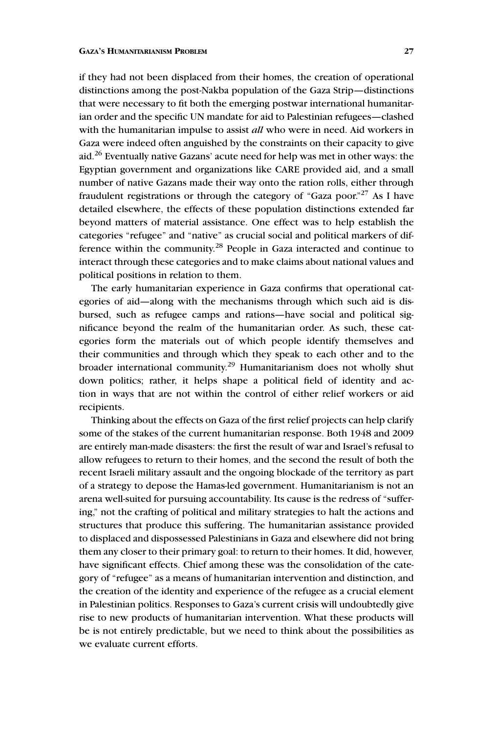if they had not been displaced from their homes, the creation of operational distinctions among the post-Nakba population of the Gaza Strip—distinctions that were necessary to fit both the emerging postwar international humanitarian order and the specific UN mandate for aid to Palestinian refugees—clashed with the humanitarian impulse to assist *all* who were in need. Aid workers in Gaza were indeed often anguished by the constraints on their capacity to give aid.<sup>26</sup> Eventually native Gazans' acute need for help was met in other ways: the Egyptian government and organizations like CARE provided aid, and a small number of native Gazans made their way onto the ration rolls, either through fraudulent registrations or through the category of "Gaza poor."<sup>27</sup> As I have detailed elsewhere, the effects of these population distinctions extended far beyond matters of material assistance. One effect was to help establish the categories "refugee" and "native" as crucial social and political markers of difference within the community.<sup>28</sup> People in Gaza interacted and continue to interact through these categories and to make claims about national values and political positions in relation to them.

The early humanitarian experience in Gaza confirms that operational categories of aid—along with the mechanisms through which such aid is disbursed, such as refugee camps and rations—have social and political significance beyond the realm of the humanitarian order. As such, these categories form the materials out of which people identify themselves and their communities and through which they speak to each other and to the broader international community.<sup>29</sup> Humanitarianism does not wholly shut down politics; rather, it helps shape a political field of identity and action in ways that are not within the control of either relief workers or aid recipients.

Thinking about the effects on Gaza of the first relief projects can help clarify some of the stakes of the current humanitarian response. Both 1948 and 2009 are entirely man-made disasters: the first the result of war and Israel's refusal to allow refugees to return to their homes, and the second the result of both the recent Israeli military assault and the ongoing blockade of the territory as part of a strategy to depose the Hamas-led government. Humanitarianism is not an arena well-suited for pursuing accountability. Its cause is the redress of "suffering," not the crafting of political and military strategies to halt the actions and structures that produce this suffering. The humanitarian assistance provided to displaced and dispossessed Palestinians in Gaza and elsewhere did not bring them any closer to their primary goal: to return to their homes. It did, however, have significant effects. Chief among these was the consolidation of the category of "refugee" as a means of humanitarian intervention and distinction, and the creation of the identity and experience of the refugee as a crucial element in Palestinian politics. Responses to Gaza's current crisis will undoubtedly give rise to new products of humanitarian intervention. What these products will be is not entirely predictable, but we need to think about the possibilities as we evaluate current efforts.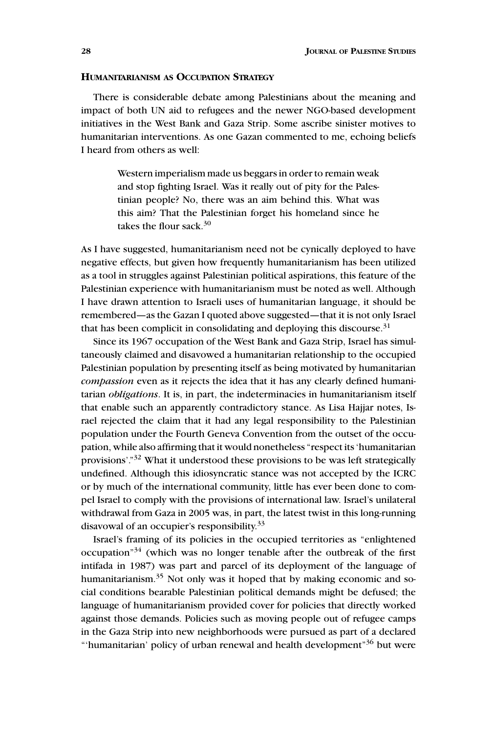#### **HUMANITARIANISM AS OCCUPATION STRATEGY**

There is considerable debate among Palestinians about the meaning and impact of both UN aid to refugees and the newer NGO-based development initiatives in the West Bank and Gaza Strip. Some ascribe sinister motives to humanitarian interventions. As one Gazan commented to me, echoing beliefs I heard from others as well:

> Western imperialism made us beggars in order to remain weak and stop fighting Israel. Was it really out of pity for the Palestinian people? No, there was an aim behind this. What was this aim? That the Palestinian forget his homeland since he takes the flour sack. $30$

As I have suggested, humanitarianism need not be cynically deployed to have negative effects, but given how frequently humanitarianism has been utilized as a tool in struggles against Palestinian political aspirations, this feature of the Palestinian experience with humanitarianism must be noted as well. Although I have drawn attention to Israeli uses of humanitarian language, it should be remembered—as the Gazan I quoted above suggested—that it is not only Israel that has been complicit in consolidating and deploying this discourse.<sup>31</sup>

Since its 1967 occupation of the West Bank and Gaza Strip, Israel has simultaneously claimed and disavowed a humanitarian relationship to the occupied Palestinian population by presenting itself as being motivated by humanitarian *compassion* even as it rejects the idea that it has any clearly defined humanitarian *obligations*. It is, in part, the indeterminacies in humanitarianism itself that enable such an apparently contradictory stance. As Lisa Hajjar notes, Israel rejected the claim that it had any legal responsibility to the Palestinian population under the Fourth Geneva Convention from the outset of the occupation, while also affirming that it would nonetheless "respect its 'humanitarian provisions'."<sup>32</sup> What it understood these provisions to be was left strategically undefined. Although this idiosyncratic stance was not accepted by the ICRC or by much of the international community, little has ever been done to compel Israel to comply with the provisions of international law. Israel's unilateral withdrawal from Gaza in 2005 was, in part, the latest twist in this long-running disavowal of an occupier's responsibility.33

Israel's framing of its policies in the occupied territories as "enlightened occupation<sup> $34$ </sup> (which was no longer tenable after the outbreak of the first intifada in 1987) was part and parcel of its deployment of the language of humanitarianism. $35$  Not only was it hoped that by making economic and social conditions bearable Palestinian political demands might be defused; the language of humanitarianism provided cover for policies that directly worked against those demands. Policies such as moving people out of refugee camps in the Gaza Strip into new neighborhoods were pursued as part of a declared "'humanitarian' policy of urban renewal and health development<sup>"36</sup> but were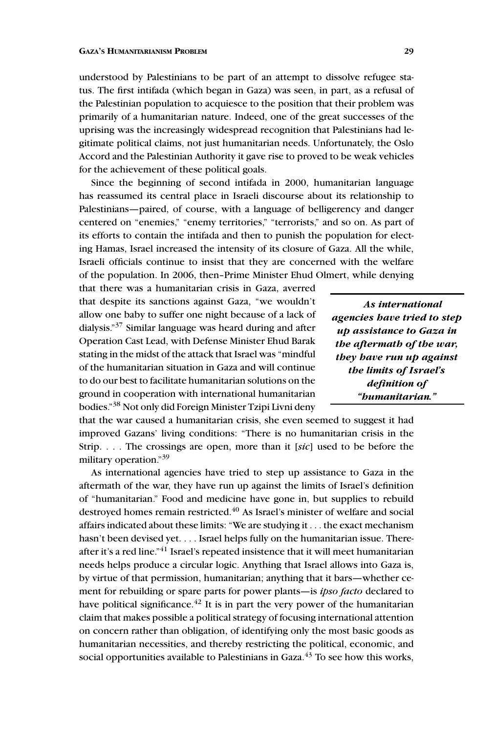understood by Palestinians to be part of an attempt to dissolve refugee status. The first intifada (which began in Gaza) was seen, in part, as a refusal of the Palestinian population to acquiesce to the position that their problem was primarily of a humanitarian nature. Indeed, one of the great successes of the uprising was the increasingly widespread recognition that Palestinians had legitimate political claims, not just humanitarian needs. Unfortunately, the Oslo Accord and the Palestinian Authority it gave rise to proved to be weak vehicles for the achievement of these political goals.

Since the beginning of second intifada in 2000, humanitarian language has reassumed its central place in Israeli discourse about its relationship to Palestinians—paired, of course, with a language of belligerency and danger centered on "enemies," "enemy territories," "terrorists," and so on. As part of its efforts to contain the intifada and then to punish the population for electing Hamas, Israel increased the intensity of its closure of Gaza. All the while, Israeli officials continue to insist that they are concerned with the welfare of the population. In 2006, then–Prime Minister Ehud Olmert, while denying

that there was a humanitarian crisis in Gaza, averred that despite its sanctions against Gaza, "we wouldn't allow one baby to suffer one night because of a lack of dialysis."<sup>37</sup> Similar language was heard during and after Operation Cast Lead, with Defense Minister Ehud Barak stating in the midst of the attack that Israel was "mindful of the humanitarian situation in Gaza and will continue to do our best to facilitate humanitarian solutions on the ground in cooperation with international humanitarian bodies."38 Not only did Foreign Minister Tzipi Livni deny

that the war caused a humanitarian crisis, she even seemed to suggest it had improved Gazans' living conditions: "There is no humanitarian crisis in the Strip. . . . The crossings are open, more than it [*sic*] used to be before the military operation."<sup>39</sup>

As international agencies have tried to step up assistance to Gaza in the aftermath of the war, they have run up against the limits of Israel's definition of "humanitarian." Food and medicine have gone in, but supplies to rebuild destroyed homes remain restricted.<sup>40</sup> As Israel's minister of welfare and social affairs indicated about these limits: "We are studying it . . . the exact mechanism hasn't been devised yet. . . . Israel helps fully on the humanitarian issue. Thereafter it's a red line."<sup>41</sup> Israel's repeated insistence that it will meet humanitarian needs helps produce a circular logic. Anything that Israel allows into Gaza is, by virtue of that permission, humanitarian; anything that it bars—whether cement for rebuilding or spare parts for power plants—is *ipso facto* declared to have political significance.<sup>42</sup> It is in part the very power of the humanitarian claim that makes possible a political strategy of focusing international attention on concern rather than obligation, of identifying only the most basic goods as humanitarian necessities, and thereby restricting the political, economic, and social opportunities available to Palestinians in Gaza. $^{43}$  To see how this works,

*As international agencies have tried to step up assistance to Gaza in the aftermath of the war, they have run up against the limits of Israel's definition of "humanitarian."*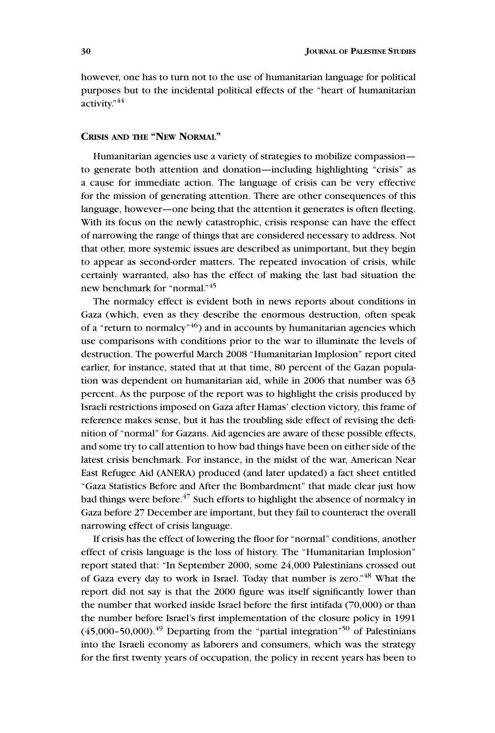however, one has to turn not to the use of humanitarian language for political purposes but to the incidental political effects of the "heart of humanitarian activity."<sup>44</sup>

# **CRISIS AND THE "NEW NORMAL"**

Humanitarian agencies use a variety of strategies to mobilize compassion to generate both attention and donation—including highlighting "crisis" as a cause for immediate action. The language of crisis can be very effective for the mission of generating attention. There are other consequences of this language, however—one being that the attention it generates is often fleeting. With its focus on the newly catastrophic, crisis response can have the effect of narrowing the range of things that are considered necessary to address. Not that other, more systemic issues are described as unimportant, but they begin to appear as second-order matters. The repeated invocation of crisis, while certainly warranted, also has the effect of making the last bad situation the new benchmark for "normal."<sup>45</sup>

The normalcy effect is evident both in news reports about conditions in Gaza (which, even as they describe the enormous destruction, often speak of a "return to normalcy"<sup>46</sup>) and in accounts by humanitarian agencies which use comparisons with conditions prior to the war to illuminate the levels of destruction. The powerful March 2008 "Humanitarian Implosion" report cited earlier, for instance, stated that at that time, 80 percent of the Gazan population was dependent on humanitarian aid, while in 2006 that number was 63 percent. As the purpose of the report was to highlight the crisis produced by Israeli restrictions imposed on Gaza after Hamas' election victory, this frame of reference makes sense, but it has the troubling side effect of revising the definition of "normal" for Gazans. Aid agencies are aware of these possible effects, and some try to call attention to how bad things have been on either side of the latest crisis benchmark. For instance, in the midst of the war, American Near East Refugee Aid (ANERA) produced (and later updated) a fact sheet entitled "Gaza Statistics Before and After the Bombardment" that made clear just how bad things were before. $47$  Such efforts to highlight the absence of normalcy in Gaza before 27 December are important, but they fail to counteract the overall narrowing effect of crisis language.

If crisis has the effect of lowering the floor for "normal" conditions, another effect of crisis language is the loss of history. The "Humanitarian Implosion" report stated that: "In September 2000, some 24,000 Palestinians crossed out of Gaza every day to work in Israel. Today that number is zero."48 What the report did not say is that the 2000 figure was itself significantly lower than the number that worked inside Israel before the first intifada (70,000) or than the number before Israel's first implementation of the closure policy in 1991  $(45,000-50,000)$ <sup>49</sup> Departing from the "partial integration"<sup>50</sup> of Palestinians into the Israeli economy as laborers and consumers, which was the strategy for the first twenty years of occupation, the policy in recent years has been to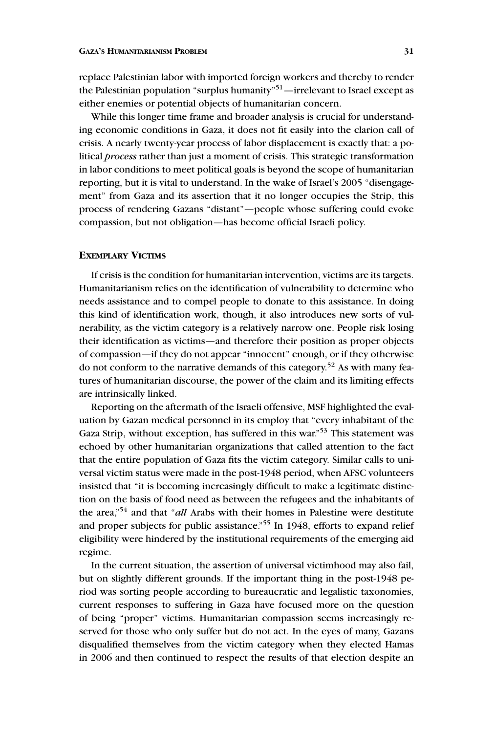replace Palestinian labor with imported foreign workers and thereby to render the Palestinian population "surplus humanity"<sup>51</sup>—irrelevant to Israel except as either enemies or potential objects of humanitarian concern.

While this longer time frame and broader analysis is crucial for understanding economic conditions in Gaza, it does not fit easily into the clarion call of crisis. A nearly twenty-year process of labor displacement is exactly that: a political *process* rather than just a moment of crisis. This strategic transformation in labor conditions to meet political goals is beyond the scope of humanitarian reporting, but it is vital to understand. In the wake of Israel's 2005 "disengagement" from Gaza and its assertion that it no longer occupies the Strip, this process of rendering Gazans "distant"—people whose suffering could evoke compassion, but not obligation—has become official Israeli policy.

#### **EXEMPLARY VICTIMS**

If crisis is the condition for humanitarian intervention, victims are its targets. Humanitarianism relies on the identification of vulnerability to determine who needs assistance and to compel people to donate to this assistance. In doing this kind of identification work, though, it also introduces new sorts of vulnerability, as the victim category is a relatively narrow one. People risk losing their identification as victims—and therefore their position as proper objects of compassion—if they do not appear "innocent" enough, or if they otherwise do not conform to the narrative demands of this category.<sup>52</sup> As with many features of humanitarian discourse, the power of the claim and its limiting effects are intrinsically linked.

Reporting on the aftermath of the Israeli offensive, MSF highlighted the evaluation by Gazan medical personnel in its employ that "every inhabitant of the Gaza Strip, without exception, has suffered in this war."<sup>53</sup> This statement was echoed by other humanitarian organizations that called attention to the fact that the entire population of Gaza fits the victim category. Similar calls to universal victim status were made in the post-1948 period, when AFSC volunteers insisted that "it is becoming increasingly difficult to make a legitimate distinction on the basis of food need as between the refugees and the inhabitants of the area,"54 and that "*all* Arabs with their homes in Palestine were destitute and proper subjects for public assistance."<sup>55</sup> In 1948, efforts to expand relief eligibility were hindered by the institutional requirements of the emerging aid regime.

In the current situation, the assertion of universal victimhood may also fail, but on slightly different grounds. If the important thing in the post-1948 period was sorting people according to bureaucratic and legalistic taxonomies, current responses to suffering in Gaza have focused more on the question of being "proper" victims. Humanitarian compassion seems increasingly reserved for those who only suffer but do not act. In the eyes of many, Gazans disqualified themselves from the victim category when they elected Hamas in 2006 and then continued to respect the results of that election despite an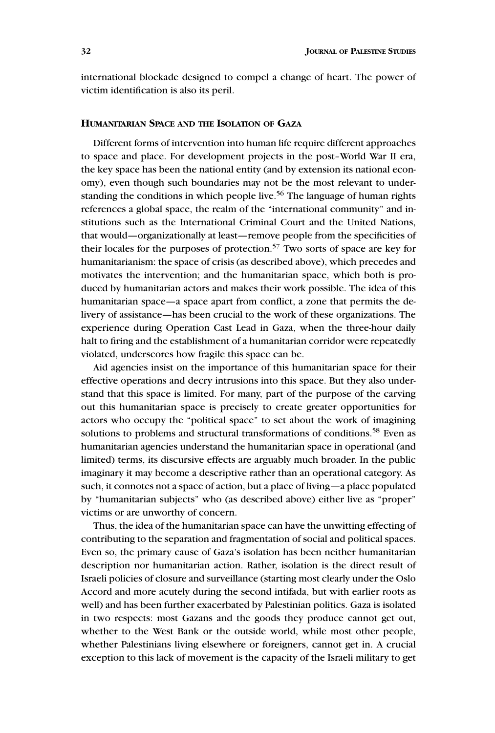international blockade designed to compel a change of heart. The power of victim identification is also its peril.

# **HUMANITARIAN SPACE AND THE ISOLATION OF GAZA**

Different forms of intervention into human life require different approaches to space and place. For development projects in the post–World War II era, the key space has been the national entity (and by extension its national economy), even though such boundaries may not be the most relevant to understanding the conditions in which people live.<sup>56</sup> The language of human rights references a global space, the realm of the "international community" and institutions such as the International Criminal Court and the United Nations, that would—organizationally at least—remove people from the specificities of their locales for the purposes of protection.<sup>57</sup> Two sorts of space are key for humanitarianism: the space of crisis (as described above), which precedes and motivates the intervention; and the humanitarian space, which both is produced by humanitarian actors and makes their work possible. The idea of this humanitarian space—a space apart from conflict, a zone that permits the delivery of assistance—has been crucial to the work of these organizations. The experience during Operation Cast Lead in Gaza, when the three-hour daily halt to firing and the establishment of a humanitarian corridor were repeatedly violated, underscores how fragile this space can be.

Aid agencies insist on the importance of this humanitarian space for their effective operations and decry intrusions into this space. But they also understand that this space is limited. For many, part of the purpose of the carving out this humanitarian space is precisely to create greater opportunities for actors who occupy the "political space" to set about the work of imagining solutions to problems and structural transformations of conditions.<sup>58</sup> Even as humanitarian agencies understand the humanitarian space in operational (and limited) terms, its discursive effects are arguably much broader. In the public imaginary it may become a descriptive rather than an operational category. As such, it connotes not a space of action, but a place of living—a place populated by "humanitarian subjects" who (as described above) either live as "proper" victims or are unworthy of concern.

Thus, the idea of the humanitarian space can have the unwitting effecting of contributing to the separation and fragmentation of social and political spaces. Even so, the primary cause of Gaza's isolation has been neither humanitarian description nor humanitarian action. Rather, isolation is the direct result of Israeli policies of closure and surveillance (starting most clearly under the Oslo Accord and more acutely during the second intifada, but with earlier roots as well) and has been further exacerbated by Palestinian politics. Gaza is isolated in two respects: most Gazans and the goods they produce cannot get out, whether to the West Bank or the outside world, while most other people, whether Palestinians living elsewhere or foreigners, cannot get in. A crucial exception to this lack of movement is the capacity of the Israeli military to get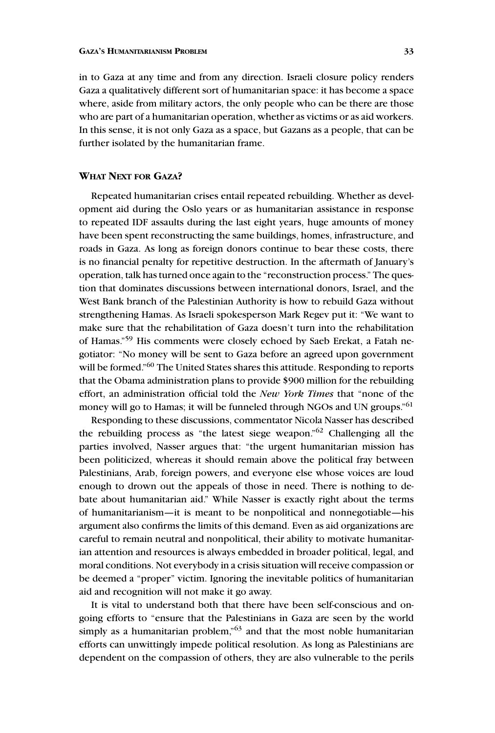in to Gaza at any time and from any direction. Israeli closure policy renders Gaza a qualitatively different sort of humanitarian space: it has become a space where, aside from military actors, the only people who can be there are those who are part of a humanitarian operation, whether as victims or as aid workers. In this sense, it is not only Gaza as a space, but Gazans as a people, that can be further isolated by the humanitarian frame.

# **WHAT NEXT FOR GAZA?**

Repeated humanitarian crises entail repeated rebuilding. Whether as development aid during the Oslo years or as humanitarian assistance in response to repeated IDF assaults during the last eight years, huge amounts of money have been spent reconstructing the same buildings, homes, infrastructure, and roads in Gaza. As long as foreign donors continue to bear these costs, there is no financial penalty for repetitive destruction. In the aftermath of January's operation, talk has turned once again to the "reconstruction process." The question that dominates discussions between international donors, Israel, and the West Bank branch of the Palestinian Authority is how to rebuild Gaza without strengthening Hamas. As Israeli spokesperson Mark Regev put it: "We want to make sure that the rehabilitation of Gaza doesn't turn into the rehabilitation of Hamas."<sup>59</sup> His comments were closely echoed by Saeb Erekat, a Fatah negotiator: "No money will be sent to Gaza before an agreed upon government will be formed."<sup>60</sup> The United States shares this attitude. Responding to reports that the Obama administration plans to provide \$900 million for the rebuilding effort, an administration official told the *New York Times* that "none of the money will go to Hamas; it will be funneled through NGOs and UN groups.<sup>"61</sup>

Responding to these discussions, commentator Nicola Nasser has described the rebuilding process as "the latest siege weapon."<sup>62</sup> Challenging all the parties involved, Nasser argues that: "the urgent humanitarian mission has been politicized, whereas it should remain above the political fray between Palestinians, Arab, foreign powers, and everyone else whose voices are loud enough to drown out the appeals of those in need. There is nothing to debate about humanitarian aid." While Nasser is exactly right about the terms of humanitarianism—it is meant to be nonpolitical and nonnegotiable—his argument also confirms the limits of this demand. Even as aid organizations are careful to remain neutral and nonpolitical, their ability to motivate humanitarian attention and resources is always embedded in broader political, legal, and moral conditions. Not everybody in a crisis situation will receive compassion or be deemed a "proper" victim. Ignoring the inevitable politics of humanitarian aid and recognition will not make it go away.

It is vital to understand both that there have been self-conscious and ongoing efforts to "ensure that the Palestinians in Gaza are seen by the world simply as a humanitarian problem,  $0.63$  and that the most noble humanitarian efforts can unwittingly impede political resolution. As long as Palestinians are dependent on the compassion of others, they are also vulnerable to the perils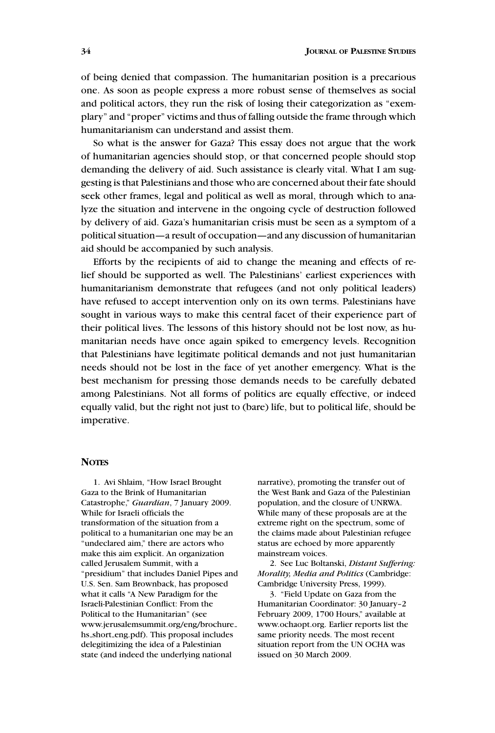of being denied that compassion. The humanitarian position is a precarious one. As soon as people express a more robust sense of themselves as social and political actors, they run the risk of losing their categorization as "exemplary" and "proper" victims and thus of falling outside the frame through which humanitarianism can understand and assist them.

So what is the answer for Gaza? This essay does not argue that the work of humanitarian agencies should stop, or that concerned people should stop demanding the delivery of aid. Such assistance is clearly vital. What I am suggesting is that Palestinians and those who are concerned about their fate should seek other frames, legal and political as well as moral, through which to analyze the situation and intervene in the ongoing cycle of destruction followed by delivery of aid. Gaza's humanitarian crisis must be seen as a symptom of a political situation—a result of occupation—and any discussion of humanitarian aid should be accompanied by such analysis.

Efforts by the recipients of aid to change the meaning and effects of relief should be supported as well. The Palestinians' earliest experiences with humanitarianism demonstrate that refugees (and not only political leaders) have refused to accept intervention only on its own terms. Palestinians have sought in various ways to make this central facet of their experience part of their political lives. The lessons of this history should not be lost now, as humanitarian needs have once again spiked to emergency levels. Recognition that Palestinians have legitimate political demands and not just humanitarian needs should not be lost in the face of yet another emergency. What is the best mechanism for pressing those demands needs to be carefully debated among Palestinians. Not all forms of politics are equally effective, or indeed equally valid, but the right not just to (bare) life, but to political life, should be imperative.

# **NOTES**

1. Avi Shlaim, "How Israel Brought Gaza to the Brink of Humanitarian Catastrophe," *Guardian*, 7 January 2009. While for Israeli officials the transformation of the situation from a political to a humanitarian one may be an "undeclared aim," there are actors who make this aim explicit. An organization called Jerusalem Summit, with a "presidium" that includes Daniel Pipes and U.S. Sen. Sam Brownback, has proposed what it calls "A New Paradigm for the Israeli-Palestinian Conflict: From the Political to the Humanitarian" (see www.jerusalemsummit.org/eng/brochure hs short eng.pdf). This proposal includes delegitimizing the idea of a Palestinian state (and indeed the underlying national

narrative), promoting the transfer out of the West Bank and Gaza of the Palestinian population, and the closure of UNRWA. While many of these proposals are at the extreme right on the spectrum, some of the claims made about Palestinian refugee status are echoed by more apparently mainstream voices.

2. See Luc Boltanski, *Distant Suffering: Morality, Media and Politics* (Cambridge: Cambridge University Press, 1999).

3. "Field Update on Gaza from the Humanitarian Coordinator: 30 January–2 February 2009, 1700 Hours," available at www.ochaopt.org. Earlier reports list the same priority needs. The most recent situation report from the UN OCHA was issued on 30 March 2009.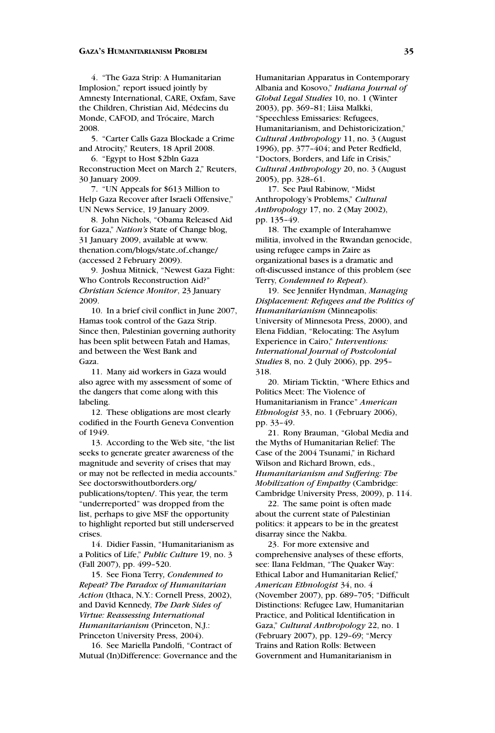#### **GAZA'S HUMANITARIANISM PROBLEM 35**

4. "The Gaza Strip: A Humanitarian Implosion," report issued jointly by Amnesty International, CARE, Oxfam, Save the Children, Christian Aid, Médecins du Monde, CAFOD, and Trócaire, March 2008.

5. "Carter Calls Gaza Blockade a Crime and Atrocity," Reuters, 18 April 2008.

6. "Egypt to Host \$2bln Gaza Reconstruction Meet on March 2," Reuters, 30 January 2009.

7. "UN Appeals for \$613 Million to Help Gaza Recover after Israeli Offensive," UN News Service, 19 January 2009.

8. John Nichols, "Obama Released Aid for Gaza," *Nation's* State of Change blog, 31 January 2009, available at www. thenation.com/blogs/state of change/ (accessed 2 February 2009).

9. Joshua Mitnick, "Newest Gaza Fight: Who Controls Reconstruction Aid?" *Christian Science Monitor*, 23 January 2009.

10. In a brief civil conflict in June 2007, Hamas took control of the Gaza Strip. Since then, Palestinian governing authority has been split between Fatah and Hamas, and between the West Bank and Gaza.

11. Many aid workers in Gaza would also agree with my assessment of some of the dangers that come along with this labeling.

12. These obligations are most clearly codified in the Fourth Geneva Convention of 1949.

13. According to the Web site, "the list seeks to generate greater awareness of the magnitude and severity of crises that may or may not be reflected in media accounts." See doctorswithoutborders.org/ publications/topten/. This year, the term "underreported" was dropped from the list, perhaps to give MSF the opportunity to highlight reported but still underserved crises.

14. Didier Fassin, "Humanitarianism as a Politics of Life," *Public Culture* 19, no. 3 (Fall 2007), pp. 499–520.

15. See Fiona Terry*, Condemned to Repeat? The Paradox of Humanitarian Action* (Ithaca, N.Y.: Cornell Press, 2002), and David Kennedy, *The Dark Sides of Virtue: Reassessing International Humanitarianism* (Princeton, N.J.: Princeton University Press, 2004).

16. See Mariella Pandolfi, "Contract of Mutual (In)Difference: Governance and the Humanitarian Apparatus in Contemporary Albania and Kosovo," *Indiana Journal of Global Legal Studies* 10, no. 1 (Winter 2003), pp. 369–81; Liisa Malkki, "Speechless Emissaries: Refugees, Humanitarianism, and Dehistoricization," *Cultural Anthropology* 11, no. 3 (August 1996), pp. 377–404; and Peter Redfield, "Doctors, Borders, and Life in Crisis," *Cultural Anthropology* 20, no. 3 (August 2005), pp. 328–61.

17. See Paul Rabinow, "Midst Anthropology's Problems," *Cultural Anthropology* 17, no. 2 (May 2002), pp. 135–49.

18. The example of Interahamwe militia, involved in the Rwandan genocide, using refugee camps in Zaire as organizational bases is a dramatic and oft-discussed instance of this problem (see Terry, *Condemned to Repeat*).

19. See Jennifer Hyndman, *Managing Displacement: Refugees and the Politics of Humanitarianism* (Minneapolis: University of Minnesota Press, 2000), and Elena Fiddian, "Relocating: The Asylum Experience in Cairo," *Interventions: International Journal of Postcolonial Studies* 8, no. 2 (July 2006), pp. 295– 318.

20. Miriam Ticktin, "Where Ethics and Politics Meet: The Violence of Humanitarianism in France" *American Ethnologist* 33, no. 1 (February 2006), pp. 33–49.

21. Rony Brauman, "Global Media and the Myths of Humanitarian Relief: The Case of the 2004 Tsunami," in Richard Wilson and Richard Brown, eds., *Humanitarianism and Suffering: The Mobilization of Empathy* (Cambridge: Cambridge University Press, 2009), p. 114.

22. The same point is often made about the current state of Palestinian politics: it appears to be in the greatest disarray since the Nakba.

23. For more extensive and comprehensive analyses of these efforts, see: Ilana Feldman, "The Quaker Way: Ethical Labor and Humanitarian Relief," *American Ethnologist* 34, no. 4 (November 2007), pp. 689–705; "Difficult Distinctions: Refugee Law, Humanitarian Practice, and Political Identification in Gaza," *Cultural Anthropology* 22, no. 1 (February 2007), pp. 129–69; "Mercy Trains and Ration Rolls: Between Government and Humanitarianism in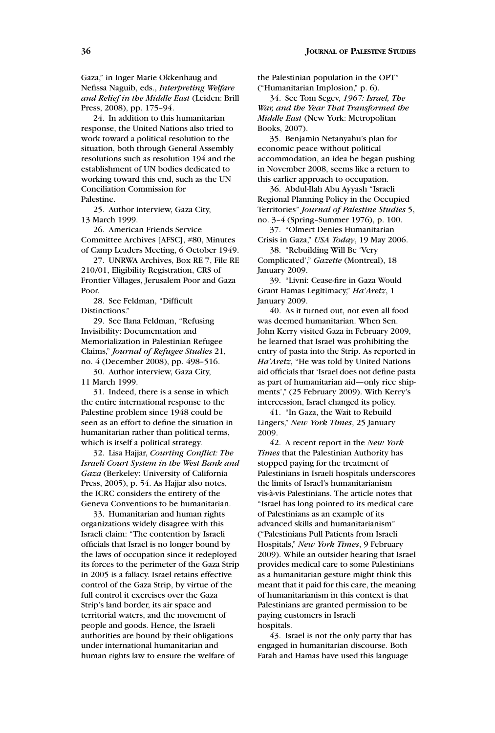Gaza," in Inger Marie Okkenhaug and Nefissa Naguib, eds., *Interpreting Welfare and Relief in the Middle East* (Leiden: Brill Press, 2008), pp. 175–94.

24. In addition to this humanitarian response, the United Nations also tried to work toward a political resolution to the situation, both through General Assembly resolutions such as resolution 194 and the establishment of UN bodies dedicated to working toward this end, such as the UN Conciliation Commission for

Palestine.

25. Author interview, Gaza City, 13 March 1999.

26. American Friends Service Committee Archives [AFSC], #80, Minutes of Camp Leaders Meeting, 6 October 1949.

27. UNRWA Archives, Box RE 7, File RE 210/01, Eligibility Registration, CRS of Frontier Villages, Jerusalem Poor and Gaza Poor.

28. See Feldman, "Difficult Distinctions."

29. See Ilana Feldman, "Refusing Invisibility: Documentation and Memorialization in Palestinian Refugee Claims," *Journal of Refugee Studies* 21, no. 4 (December 2008), pp. 498–516.

30. Author interview, Gaza City, 11 March 1999.

31. Indeed, there is a sense in which the entire international response to the Palestine problem since 1948 could be seen as an effort to define the situation in humanitarian rather than political terms, which is itself a political strategy.

32. Lisa Hajjar, *Courting Conflict: The Israeli Court System in the West Bank and Gaza* (Berkeley: University of California Press, 2005), p. 54. As Hajjar also notes, the ICRC considers the entirety of the Geneva Conventions to be humanitarian.

33. Humanitarian and human rights organizations widely disagree with this Israeli claim: "The contention by Israeli officials that Israel is no longer bound by the laws of occupation since it redeployed its forces to the perimeter of the Gaza Strip in 2005 is a fallacy. Israel retains effective control of the Gaza Strip, by virtue of the full control it exercises over the Gaza Strip's land border, its air space and territorial waters, and the movement of people and goods. Hence, the Israeli authorities are bound by their obligations under international humanitarian and human rights law to ensure the welfare of

the Palestinian population in the OPT" ("Humanitarian Implosion," p. 6).

34. See Tom Segev, *1967: Israel, The War, and the Year That Transformed the Middle East* (New York: Metropolitan Books, 2007).

35. Benjamin Netanyahu's plan for economic peace without political accommodation, an idea he began pushing in November 2008, seems like a return to this earlier approach to occupation.

36. Abdul-Ilah Abu Ayyash "Israeli Regional Planning Policy in the Occupied Territories" *Journal of Palestine Studies* 5, no. 3–4 (Spring–Summer 1976), p. 100.

37. "Olmert Denies Humanitarian Crisis in Gaza," *USA Today*, 19 May 2006.

38. "Rebuilding Will Be 'Very Complicated'," *Gazette* (Montreal), 18 January 2009.

39. "Livni: Cease-fire in Gaza Would Grant Hamas Legitimacy," *Ha'Aretz*, 1 January 2009.

40. As it turned out, not even all food was deemed humanitarian. When Sen. John Kerry visited Gaza in February 2009, he learned that Israel was prohibiting the entry of pasta into the Strip. As reported in *Ha'Aretz*, "He was told by United Nations aid officials that 'Israel does not define pasta as part of humanitarian aid—only rice shipments'," (25 February 2009). With Kerry's intercession, Israel changed its policy.

41. "In Gaza, the Wait to Rebuild Lingers," *New York Times*, 25 January 2009.

42. A recent report in the *New York Times* that the Palestinian Authority has stopped paying for the treatment of Palestinians in Israeli hospitals underscores the limits of Israel's humanitarianism vis-à-vis Palestinians. The article notes that "Israel has long pointed to its medical care of Palestinians as an example of its advanced skills and humanitarianism" ("Palestinians Pull Patients from Israeli Hospitals," *New York Times*, 9 February 2009). While an outsider hearing that Israel provides medical care to some Palestinians as a humanitarian gesture might think this meant that it paid for this care, the meaning of humanitarianism in this context is that Palestinians are granted permission to be paying customers in Israeli hospitals.

43. Israel is not the only party that has engaged in humanitarian discourse. Both Fatah and Hamas have used this language